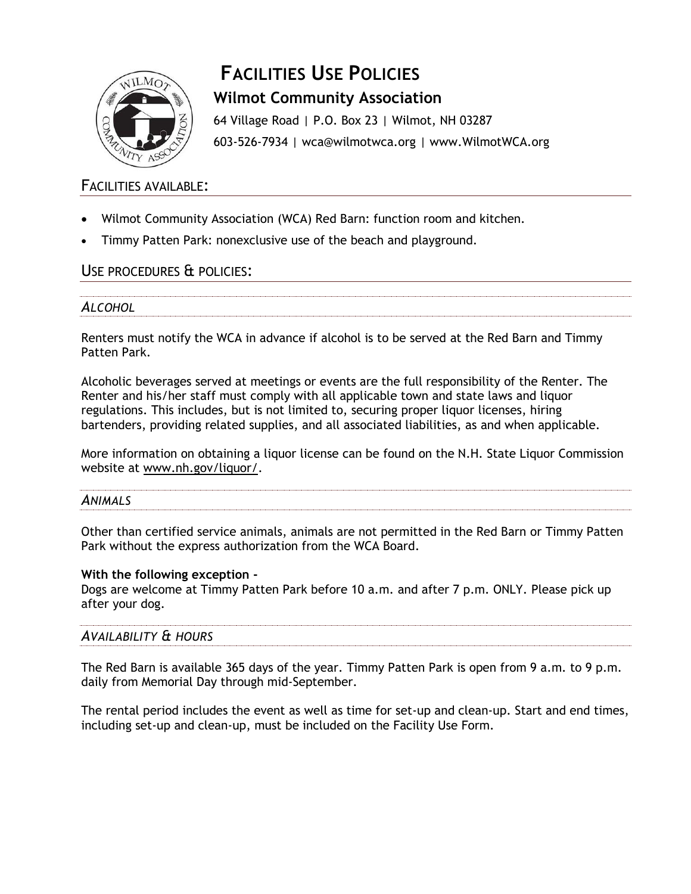

# **FACILITIES USE POLICIES Wilmot Community Association**

64 Village Road | P.O. Box 23 | Wilmot, NH 03287 603-526-7934 | wca@wilmotwca.org | www.WilmotWCA.org

## FACILITIES AVAILABLE:

- Wilmot Community Association (WCA) Red Barn: function room and kitchen.
- Timmy Patten Park: nonexclusive use of the beach and playground.

## USE PROCEDURES & POLICIES:

#### *ALCOHOL*

Renters must notify the WCA in advance if alcohol is to be served at the Red Barn and Timmy Patten Park.

Alcoholic beverages served at meetings or events are the full responsibility of the Renter. The Renter and his/her staff must comply with all applicable town and state laws and liquor regulations. This includes, but is not limited to, securing proper liquor licenses, hiring bartenders, providing related supplies, and all associated liabilities, as and when applicable.

More information on obtaining a liquor license can be found on the N.H. State Liquor Commission website at [www.nh.gov/liquor/.](http://www.nh.gov/liquor/)

# *ANIMALS*

Other than certified service animals, animals are not permitted in the Red Barn or Timmy Patten Park without the express authorization from the WCA Board.

#### **With the following exception -**

Dogs are welcome at Timmy Patten Park before 10 a.m. and after 7 p.m. ONLY. Please pick up after your dog.

### *AVAILABILITY & HOURS*

The Red Barn is available 365 days of the year. Timmy Patten Park is open from 9 a.m. to 9 p.m. daily from Memorial Day through mid-September.

The rental period includes the event as well as time for set-up and clean-up. Start and end times, including set-up and clean-up, must be included on the Facility Use Form.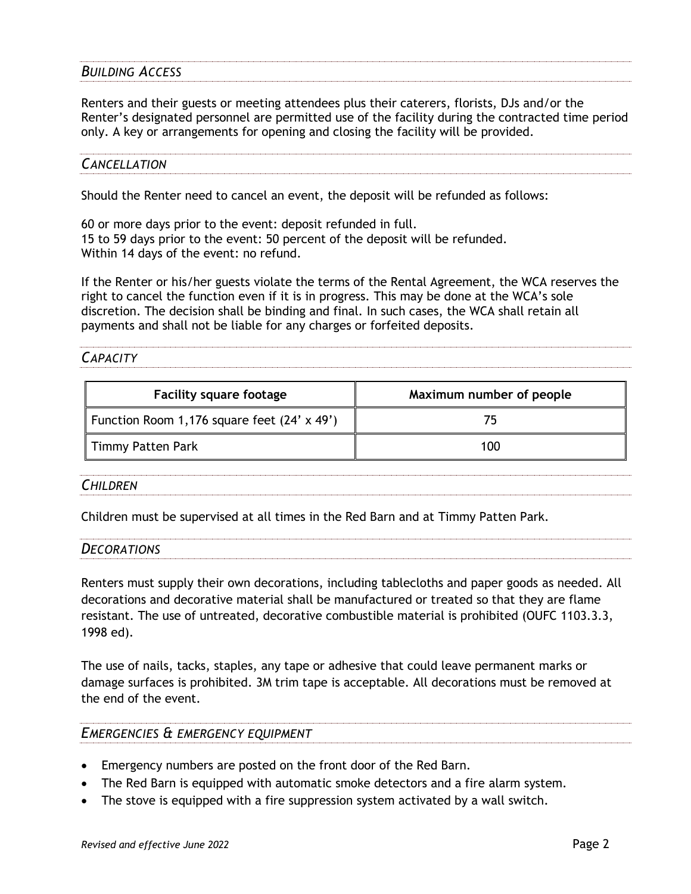#### *BUILDING ACCESS*

Renters and their guests or meeting attendees plus their caterers, florists, DJs and/or the Renter's designated personnel are permitted use of the facility during the contracted time period only. A key or arrangements for opening and closing the facility will be provided.

#### *CANCELLATION*

Should the Renter need to cancel an event, the deposit will be refunded as follows:

60 or more days prior to the event: deposit refunded in full. 15 to 59 days prior to the event: 50 percent of the deposit will be refunded. Within 14 days of the event: no refund.

If the Renter or his/her guests violate the terms of the Rental Agreement, the WCA reserves the right to cancel the function even if it is in progress. This may be done at the WCA's sole discretion. The decision shall be binding and final. In such cases, the WCA shall retain all payments and shall not be liable for any charges or forfeited deposits.

#### *CAPACITY*

| <b>Facility square footage</b>              | Maximum number of people |
|---------------------------------------------|--------------------------|
| Function Room 1,176 square feet (24' x 49') |                          |
| Timmy Patten Park                           | 100                      |

#### *CHILDREN*

Children must be supervised at all times in the Red Barn and at Timmy Patten Park.

| <b>DECORATIONS</b> |
|--------------------|
|                    |

Renters must supply their own decorations, including tablecloths and paper goods as needed. All decorations and decorative material shall be manufactured or treated so that they are flame resistant. The use of untreated, decorative combustible material is prohibited (OUFC 1103.3.3, 1998 ed).

The use of nails, tacks, staples, any tape or adhesive that could leave permanent marks or damage surfaces is prohibited. 3M trim tape is acceptable. All decorations must be removed at the end of the event.

#### *EMERGENCIES & EMERGENCY EQUIPMENT*

- Emergency numbers are posted on the front door of the Red Barn.
- The Red Barn is equipped with automatic smoke detectors and a fire alarm system.
- The stove is equipped with a fire suppression system activated by a wall switch.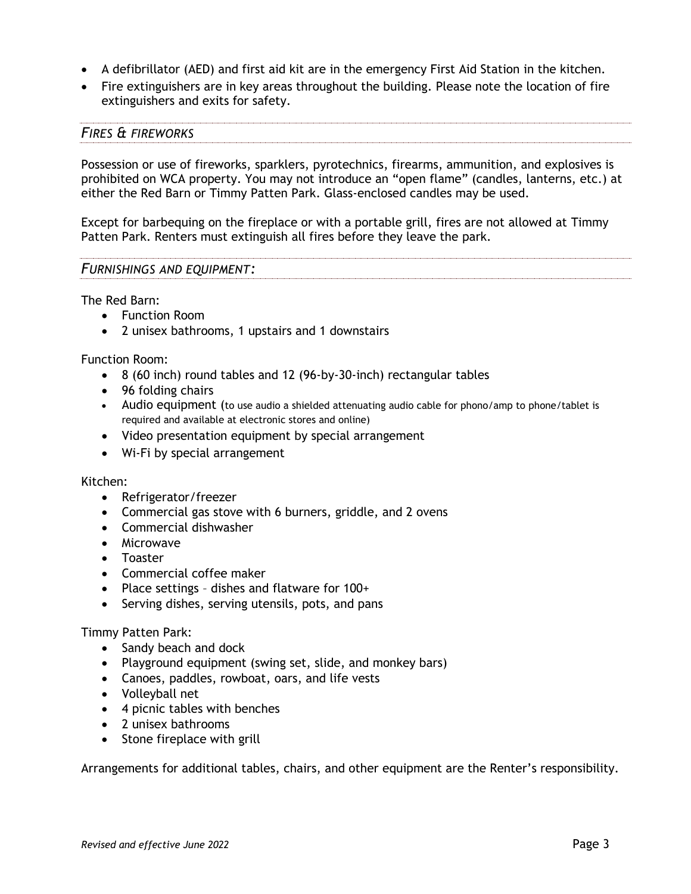- A defibrillator (AED) and first aid kit are in the emergency First Aid Station in the kitchen.
- Fire extinguishers are in key areas throughout the building. Please note the location of fire extinguishers and exits for safety.

#### *FIRES & FIREWORKS*

Possession or use of fireworks, sparklers, pyrotechnics, firearms, ammunition, and explosives is prohibited on WCA property. You may not introduce an "open flame" (candles, lanterns, etc.) at either the Red Barn or Timmy Patten Park. Glass-enclosed candles may be used.

Except for barbequing on the fireplace or with a portable grill, fires are not allowed at Timmy Patten Park. Renters must extinguish all fires before they leave the park.

#### *FURNISHINGS AND EQUIPMENT:*

The Red Barn:

- Function Room
- 2 unisex bathrooms, 1 upstairs and 1 downstairs

Function Room:

- 8 (60 inch) round tables and 12 (96-by-30-inch) rectangular tables
- 96 folding chairs
- Audio equipment (to use audio a shielded attenuating audio cable for phono/amp to phone/tablet is required and available at electronic stores and online)
- Video presentation equipment by special arrangement
- Wi-Fi by special arrangement

#### Kitchen:

- Refrigerator/freezer
- Commercial gas stove with 6 burners, griddle, and 2 ovens
- Commercial dishwasher
- Microwave
- Toaster
- Commercial coffee maker
- Place settings dishes and flatware for 100+
- Serving dishes, serving utensils, pots, and pans

#### Timmy Patten Park:

- Sandy beach and dock
- Playground equipment (swing set, slide, and monkey bars)
- Canoes, paddles, rowboat, oars, and life vests
- Volleyball net
- 4 picnic tables with benches
- 2 unisex bathrooms
- Stone fireplace with grill

Arrangements for additional tables, chairs, and other equipment are the Renter's responsibility.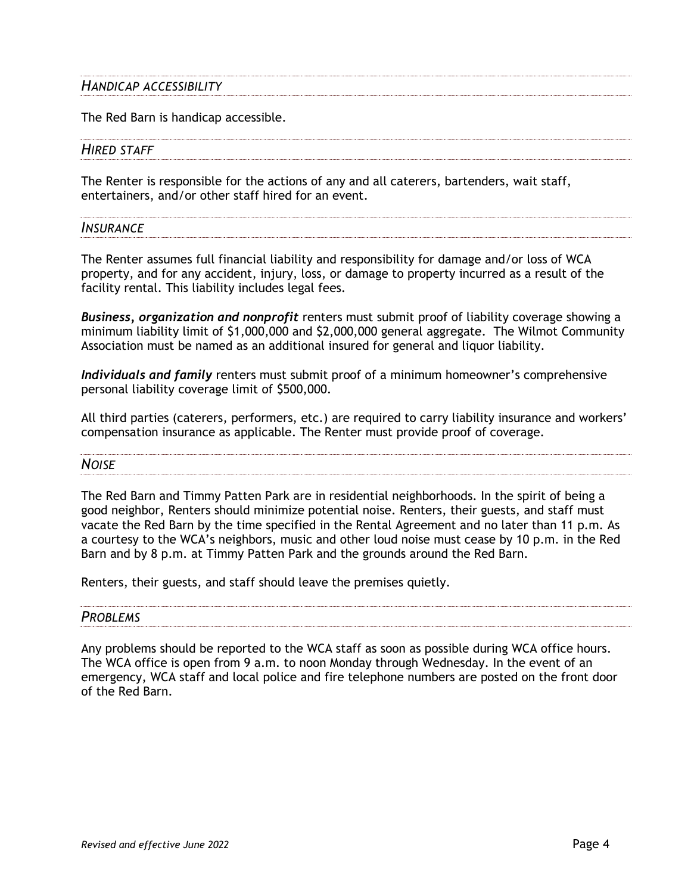# *HANDICAP ACCESSIBILITY*

The Red Barn is handicap accessible.

#### *HIRED STAFF*

The Renter is responsible for the actions of any and all caterers, bartenders, wait staff, entertainers, and/or other staff hired for an event.

# *INSURANCE*

The Renter assumes full financial liability and responsibility for damage and/or loss of WCA property, and for any accident, injury, loss, or damage to property incurred as a result of the facility rental. This liability includes legal fees.

*Business, organization and nonprofit* renters must submit proof of liability coverage showing a minimum liability limit of \$1,000,000 and \$2,000,000 general aggregate. The Wilmot Community Association must be named as an additional insured for general and liquor liability.

*Individuals and family* renters must submit proof of a minimum homeowner's comprehensive personal liability coverage limit of \$500,000.

All third parties (caterers, performers, etc.) are required to carry liability insurance and workers' compensation insurance as applicable. The Renter must provide proof of coverage.

*NOISE*

The Red Barn and Timmy Patten Park are in residential neighborhoods. In the spirit of being a good neighbor, Renters should minimize potential noise. Renters, their guests, and staff must vacate the Red Barn by the time specified in the Rental Agreement and no later than 11 p.m. As a courtesy to the WCA's neighbors, music and other loud noise must cease by 10 p.m. in the Red Barn and by 8 p.m. at Timmy Patten Park and the grounds around the Red Barn.

Renters, their guests, and staff should leave the premises quietly.

# *PROBLEMS*

Any problems should be reported to the WCA staff as soon as possible during WCA office hours. The WCA office is open from 9 a.m. to noon Monday through Wednesday. In the event of an emergency, WCA staff and local police and fire telephone numbers are posted on the front door of the Red Barn.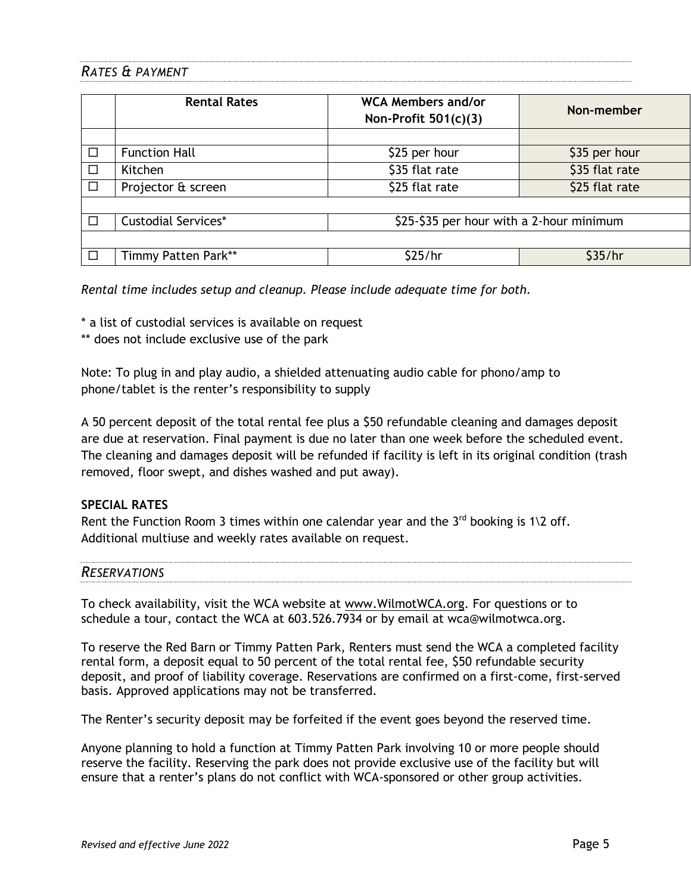### *RATES & PAYMENT*

|        | <b>Rental Rates</b>        | <b>WCA Members and/or</b><br>Non-Profit $501(c)(3)$ | Non-member     |
|--------|----------------------------|-----------------------------------------------------|----------------|
|        |                            |                                                     |                |
| $\Box$ | <b>Function Hall</b>       | \$25 per hour                                       | \$35 per hour  |
| $\Box$ | Kitchen                    | \$35 flat rate                                      | \$35 flat rate |
| $\Box$ | Projector & screen         | \$25 flat rate                                      | \$25 flat rate |
|        |                            |                                                     |                |
| П      | <b>Custodial Services*</b> | \$25-\$35 per hour with a 2-hour minimum            |                |
|        |                            |                                                     |                |
| □      | Timmy Patten Park**        | \$25/hr                                             | \$35/hr        |

*Rental time includes setup and cleanup. Please include adequate time for both.*

\* a list of custodial services is available on request

\*\* does not include exclusive use of the park

Note: To plug in and play audio, a shielded attenuating audio cable for phono/amp to phone/tablet is the renter's responsibility to supply

A 50 percent deposit of the total rental fee plus a \$50 refundable cleaning and damages deposit are due at reservation. Final payment is due no later than one week before the scheduled event. The cleaning and damages deposit will be refunded if facility is left in its original condition (trash removed, floor swept, and dishes washed and put away).

#### **SPECIAL RATES**

Rent the Function Room 3 times within one calendar year and the  $3^{rd}$  booking is 1\2 off. Additional multiuse and weekly rates available on request.

#### *RESERVATIONS*

To check availability, visit the WCA website at [www.WilmotWCA.org.](http://www.wilmotwca.org/) For questions or to schedule a tour, contact the WCA at 603.526.7934 or by email at wca@wilmotwca.org.

To reserve the Red Barn or Timmy Patten Park, Renters must send the WCA a completed facility rental form, a deposit equal to 50 percent of the total rental fee, \$50 refundable security deposit, and proof of liability coverage. Reservations are confirmed on a first-come, first-served basis. Approved applications may not be transferred.

The Renter's security deposit may be forfeited if the event goes beyond the reserved time.

Anyone planning to hold a function at Timmy Patten Park involving 10 or more people should reserve the facility. Reserving the park does not provide exclusive use of the facility but will ensure that a renter's plans do not conflict with WCA-sponsored or other group activities.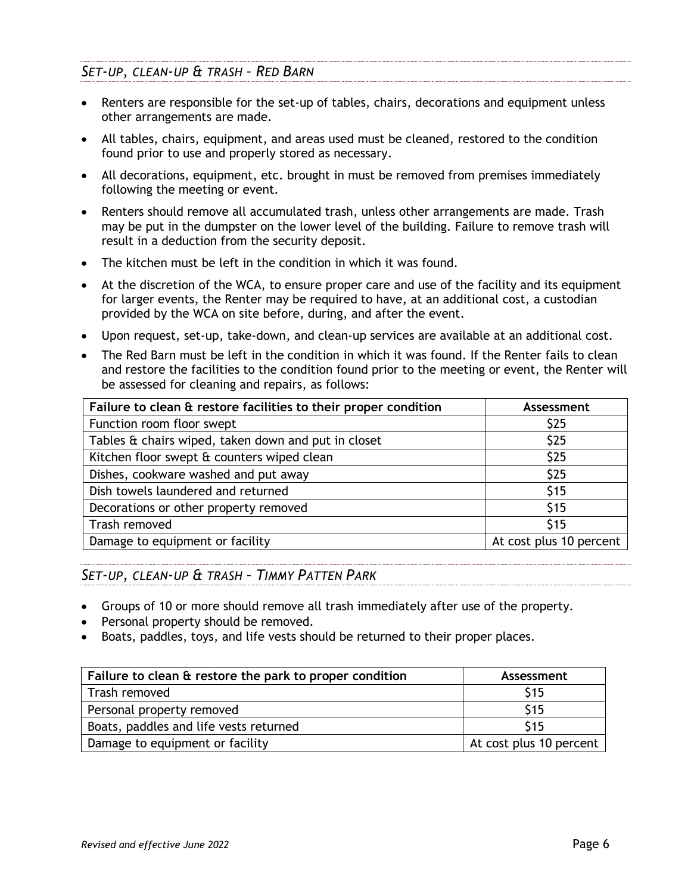## *SET-UP, CLEAN-UP & TRASH – RED BARN*

- Renters are responsible for the set-up of tables, chairs, decorations and equipment unless other arrangements are made.
- All tables, chairs, equipment, and areas used must be cleaned, restored to the condition found prior to use and properly stored as necessary.
- All decorations, equipment, etc. brought in must be removed from premises immediately following the meeting or event.
- Renters should remove all accumulated trash, unless other arrangements are made. Trash may be put in the dumpster on the lower level of the building. Failure to remove trash will result in a deduction from the security deposit.
- The kitchen must be left in the condition in which it was found.
- At the discretion of the WCA, to ensure proper care and use of the facility and its equipment for larger events, the Renter may be required to have, at an additional cost, a custodian provided by the WCA on site before, during, and after the event.
- Upon request, set-up, take-down, and clean-up services are available at an additional cost.
- The Red Barn must be left in the condition in which it was found. If the Renter fails to clean and restore the facilities to the condition found prior to the meeting or event, the Renter will be assessed for cleaning and repairs, as follows:

| Failure to clean & restore facilities to their proper condition | Assessment              |
|-----------------------------------------------------------------|-------------------------|
| Function room floor swept                                       | \$25                    |
| Tables & chairs wiped, taken down and put in closet             | \$25                    |
| Kitchen floor swept & counters wiped clean                      | \$25                    |
| Dishes, cookware washed and put away                            | \$25                    |
| Dish towels laundered and returned                              | \$15                    |
| Decorations or other property removed                           | \$15                    |
| Trash removed                                                   | \$15                    |
| Damage to equipment or facility                                 | At cost plus 10 percent |

### *SET-UP, CLEAN-UP & TRASH – TIMMY PATTEN PARK*

- Groups of 10 or more should remove all trash immediately after use of the property.
- Personal property should be removed.
- Boats, paddles, toys, and life vests should be returned to their proper places.

| Failure to clean & restore the park to proper condition | Assessment              |
|---------------------------------------------------------|-------------------------|
| Trash removed                                           | <b>S15</b>              |
| Personal property removed                               | \$15                    |
| Boats, paddles and life vests returned                  | <b>S15</b>              |
| Damage to equipment or facility                         | At cost plus 10 percent |